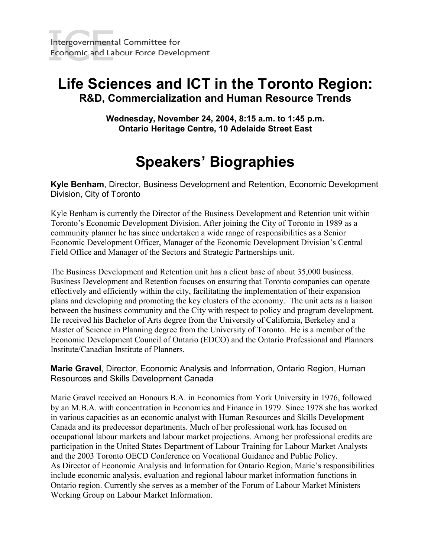## **Life Sciences and ICT in the Toronto Region: R&D, Commercialization and Human Resource Trends**

**Wednesday, November 24, 2004, 8:15 a.m. to 1:45 p.m. Ontario Heritage Centre, 10 Adelaide Street East**

# **Speakers' Biographies**

**Kyle Benham**, Director, Business Development and Retention, Economic Development Division, City of Toronto

Kyle Benham is currently the Director of the Business Development and Retention unit within Toronto's Economic Development Division. After joining the City of Toronto in 1989 as a community planner he has since undertaken a wide range of responsibilities as a Senior Economic Development Officer, Manager of the Economic Development Division's Central Field Office and Manager of the Sectors and Strategic Partnerships unit.

The Business Development and Retention unit has a client base of about 35,000 business. Business Development and Retention focuses on ensuring that Toronto companies can operate effectively and efficiently within the city, facilitating the implementation of their expansion plans and developing and promoting the key clusters of the economy. The unit acts as a liaison between the business community and the City with respect to policy and program development. He received his Bachelor of Arts degree from the University of California, Berkeley and a Master of Science in Planning degree from the University of Toronto. He is a member of the Economic Development Council of Ontario (EDCO) and the Ontario Professional and Planners Institute/Canadian Institute of Planners.

**Marie Gravel**, Director, Economic Analysis and Information, Ontario Region, Human Resources and Skills Development Canada

Marie Gravel received an Honours B.A. in Economics from York University in 1976, followed by an M.B.A. with concentration in Economics and Finance in 1979. Since 1978 she has worked in various capacities as an economic analyst with Human Resources and Skills Development Canada and its predecessor departments. Much of her professional work has focused on occupational labour markets and labour market projections. Among her professional credits are participation in the United States Department of Labour Training for Labour Market Analysts and the 2003 Toronto OECD Conference on Vocational Guidance and Public Policy. As Director of Economic Analysis and Information for Ontario Region, Marie's responsibilities include economic analysis, evaluation and regional labour market information functions in Ontario region. Currently she serves as a member of the Forum of Labour Market Ministers Working Group on Labour Market Information.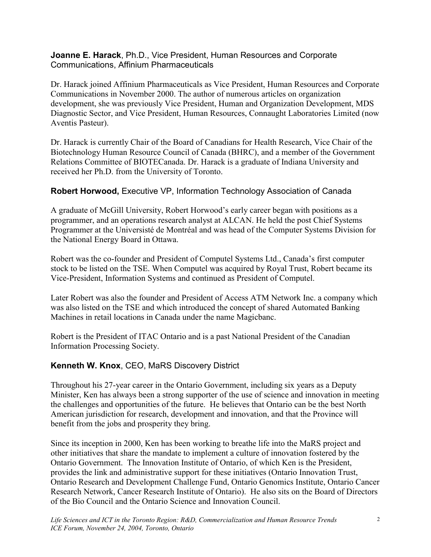**Joanne E. Harack**, Ph.D., Vice President, Human Resources and Corporate Communications, Affinium Pharmaceuticals

Dr. Harack joined Affinium Pharmaceuticals as Vice President, Human Resources and Corporate Communications in November 2000. The author of numerous articles on organization development, she was previously Vice President, Human and Organization Development, MDS Diagnostic Sector, and Vice President, Human Resources, Connaught Laboratories Limited (now Aventis Pasteur).

Dr. Harack is currently Chair of the Board of Canadians for Health Research, Vice Chair of the Biotechnology Human Resource Council of Canada (BHRC), and a member of the Government Relations Committee of BIOTECanada. Dr. Harack is a graduate of Indiana University and received her Ph.D. from the University of Toronto.

#### **Robert Horwood,** Executive VP, Information Technology Association of Canada

A graduate of McGill University, Robert Horwood's early career began with positions as a programmer, and an operations research analyst at ALCAN. He held the post Chief Systems Programmer at the Universisté de Montréal and was head of the Computer Systems Division for the National Energy Board in Ottawa.

Robert was the co-founder and President of Computel Systems Ltd., Canada's first computer stock to be listed on the TSE. When Computel was acquired by Royal Trust, Robert became its Vice-President, Information Systems and continued as President of Computel.

Later Robert was also the founder and President of Access ATM Network Inc. a company which was also listed on the TSE and which introduced the concept of shared Automated Banking Machines in retail locations in Canada under the name Magicbanc.

Robert is the President of ITAC Ontario and is a past National President of the Canadian Information Processing Society.

#### **Kenneth W. Knox**, CEO, MaRS Discovery District

Throughout his 27-year career in the Ontario Government, including six years as a Deputy Minister, Ken has always been a strong supporter of the use of science and innovation in meeting the challenges and opportunities of the future. He believes that Ontario can be the best North American jurisdiction for research, development and innovation, and that the Province will benefit from the jobs and prosperity they bring.

Since its inception in 2000, Ken has been working to breathe life into the MaRS project and other initiatives that share the mandate to implement a culture of innovation fostered by the Ontario Government. The Innovation Institute of Ontario, of which Ken is the President, provides the link and administrative support for these initiatives (Ontario Innovation Trust, Ontario Research and Development Challenge Fund, Ontario Genomics Institute, Ontario Cancer Research Network, Cancer Research Institute of Ontario).He also sits on the Board of Directors of the Bio Council and the Ontario Science and Innovation Council.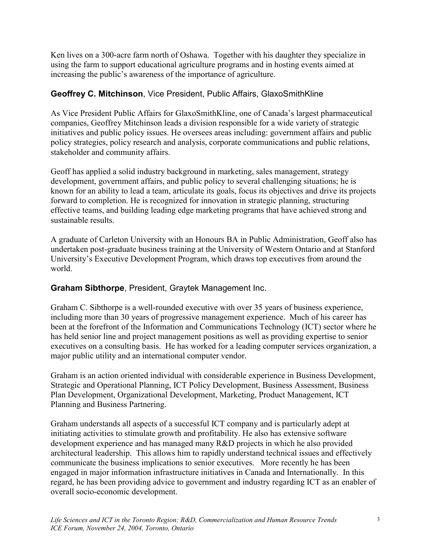Ken lives on a 300-acre farm north of Oshawa. Together with his daughter they specialize in using the farm to support educational agriculture programs and in hosting events aimed at increasing the public's awareness of the importance of agriculture.

### **Geoffrey C. Mitchinson**, Vice President, Public Affairs, GlaxoSmithKline

As Vice President Public Affairs for GlaxoSmithKline, one of Canada's largest pharmaceutical companies, Geoffrey Mitchinson leads a division responsible for a wide variety of strategic initiatives and public policy issues. He oversees areas including: government affairs and public policy strategies, policy research and analysis, corporate communications and public relations, stakeholder and community affairs.

Geoff has applied a solid industry background in marketing, sales management, strategy development, government affairs, and public policy to several challenging situations; he is known for an ability to lead a team, articulate its goals, focus its objectives and drive its projects forward to completion. He is recognized for innovation in strategic planning, structuring effective teams, and building leading edge marketing programs that have achieved strong and sustainable results.

A graduate of Carleton University with an Honours BA in Public Administration, Geoff also has undertaken post-graduate business training at the University of Western Ontario and at Stanford University's Executive Development Program, which draws top executives from around the world.

#### **Graham Sibthorpe**, President, Graytek Management Inc.

Graham C. Sibthorpe is a well-rounded executive with over 35 years of business experience, including more than 30 years of progressive management experience. Much of his career has been at the forefront of the Information and Communications Technology (ICT) sector where he has held senior line and project management positions as well as providing expertise to senior executives on a consulting basis. He has worked for a leading computer services organization, a major public utility and an international computer vendor.

Graham is an action oriented individual with considerable experience in Business Development, Strategic and Operational Planning, ICT Policy Development, Business Assessment, Business Plan Development, Organizational Development, Marketing, Product Management, ICT Planning and Business Partnering.

Graham understands all aspects of a successful ICT company and is particularly adept at initiating activities to stimulate growth and profitability. He also has extensive software development experience and has managed many R&D projects in which he also provided architectural leadership. This allows him to rapidly understand technical issues and effectively communicate the business implications to senior executives. More recently he has been engaged in major information infrastructure initiatives in Canada and Internationally. In this regard, he has been providing advice to government and industry regarding ICT as an enabler of overall socio-economic development.